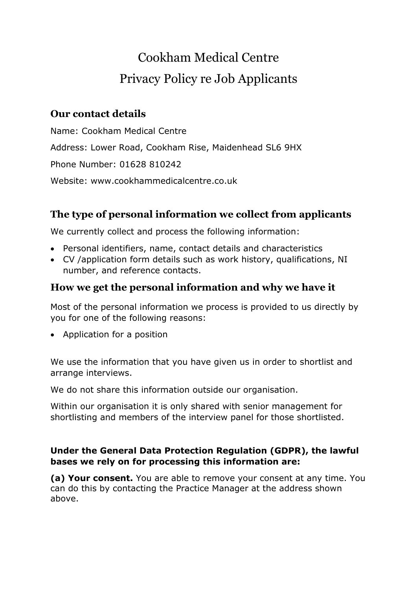# Cookham Medical Centre Privacy Policy re Job Applicants

## **Our contact details**

Name: Cookham Medical Centre Address: Lower Road, Cookham Rise, Maidenhead SL6 9HX Phone Number: 01628 810242 Website: www.cookhammedicalcentre.co.uk

# **The type of personal information we collect from applicants**

We currently collect and process the following information:

- Personal identifiers, name, contact details and characteristics
- CV /application form details such as work history, qualifications, NI number, and reference contacts.

## **How we get the personal information and why we have it**

Most of the personal information we process is provided to us directly by you for one of the following reasons:

• Application for a position

We use the information that you have given us in order to shortlist and arrange interviews.

We do not share this information outside our organisation.

Within our organisation it is only shared with senior management for shortlisting and members of the interview panel for those shortlisted.

#### **Under the General Data Protection Regulation (GDPR), the lawful bases we rely on for processing this information are:**

**(a) Your consent.** You are able to remove your consent at any time. You can do this by contacting the Practice Manager at the address shown above.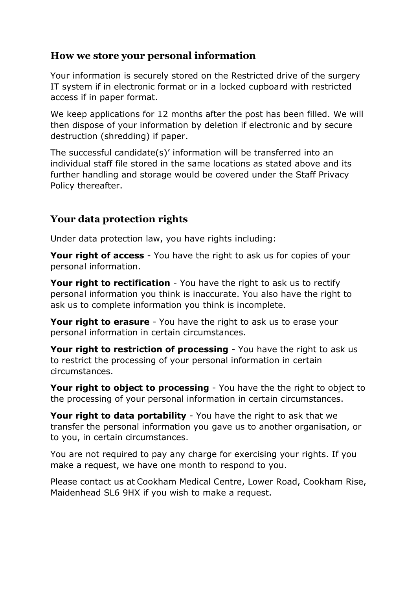## **How we store your personal information**

Your information is securely stored on the Restricted drive of the surgery IT system if in electronic format or in a locked cupboard with restricted access if in paper format.

We keep applications for 12 months after the post has been filled. We will then dispose of your information by deletion if electronic and by secure destruction (shredding) if paper.

The successful candidate(s)' information will be transferred into an individual staff file stored in the same locations as stated above and its further handling and storage would be covered under the Staff Privacy Policy thereafter.

## **Your data protection rights**

Under data protection law, you have rights including:

**Your right of access** - You have the right to ask us for copies of your personal information.

**Your right to rectification** - You have the right to ask us to rectify personal information you think is inaccurate. You also have the right to ask us to complete information you think is incomplete.

**Your right to erasure** - You have the right to ask us to erase your personal information in certain circumstances.

**Your right to restriction of processing** - You have the right to ask us to restrict the processing of your personal information in certain circumstances.

**Your right to object to processing** - You have the the right to object to the processing of your personal information in certain circumstances.

**Your right to data portability** - You have the right to ask that we transfer the personal information you gave us to another organisation, or to you, in certain circumstances.

You are not required to pay any charge for exercising your rights. If you make a request, we have one month to respond to you.

Please contact us at Cookham Medical Centre, Lower Road, Cookham Rise, Maidenhead SL6 9HX if you wish to make a request.